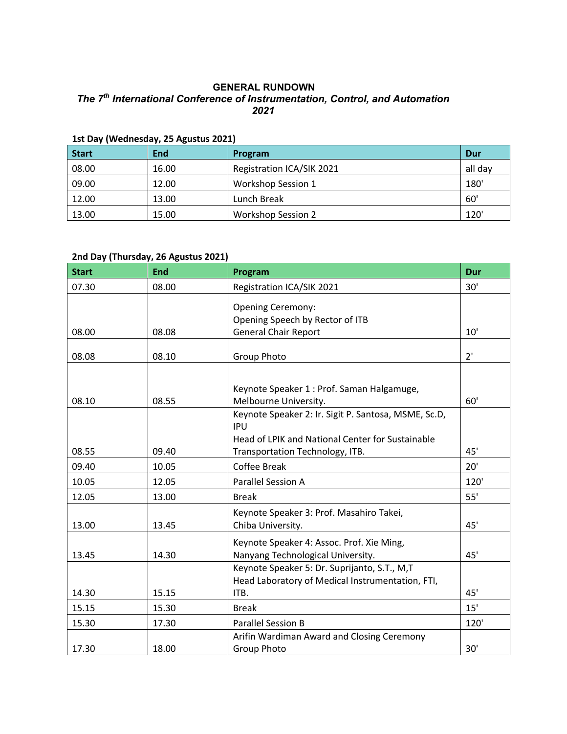#### **GENERAL RUNDOWN** *The 7th International Conference of Instrumentation, Control, and Automation 2021*

| -------<br><b>Start</b> | End   | Program                   | Dur     |
|-------------------------|-------|---------------------------|---------|
| 08.00                   | 16.00 | Registration ICA/SIK 2021 | all day |
| 09.00                   | 12.00 | <b>Workshop Session 1</b> | 180     |
| 12.00                   | 13.00 | Lunch Break               | 60'     |
| 13.00                   | 15.00 | <b>Workshop Session 2</b> | 120'    |

#### **1st Day (Wednesday, 25 Agustus 2021)**

### **2nd Day (Thursday, 26 Agustus 2021)**

| <b>Start</b> | <b>End</b> | Program                                                                                                                                                   | Dur  |
|--------------|------------|-----------------------------------------------------------------------------------------------------------------------------------------------------------|------|
| 07.30        | 08.00      | Registration ICA/SIK 2021                                                                                                                                 | 30'  |
| 08.00        | 08.08      | <b>Opening Ceremony:</b><br>Opening Speech by Rector of ITB<br><b>General Chair Report</b>                                                                | 10'  |
|              |            |                                                                                                                                                           |      |
| 08.08        | 08.10      | <b>Group Photo</b>                                                                                                                                        | 2'   |
| 08.10        | 08.55      | Keynote Speaker 1 : Prof. Saman Halgamuge,<br>Melbourne University.                                                                                       | 60'  |
| 08.55        | 09.40      | Keynote Speaker 2: Ir. Sigit P. Santosa, MSME, Sc.D,<br><b>IPU</b><br>Head of LPIK and National Center for Sustainable<br>Transportation Technology, ITB. | 45'  |
| 09.40        | 10.05      | <b>Coffee Break</b>                                                                                                                                       | 20'  |
| 10.05        | 12.05      | <b>Parallel Session A</b>                                                                                                                                 | 120' |
| 12.05        | 13.00      | <b>Break</b>                                                                                                                                              | 55'  |
| 13.00        | 13.45      | Keynote Speaker 3: Prof. Masahiro Takei,<br>Chiba University.                                                                                             | 45'  |
| 13.45        | 14.30      | Keynote Speaker 4: Assoc. Prof. Xie Ming,<br>Nanyang Technological University.<br>Keynote Speaker 5: Dr. Suprijanto, S.T., M,T                            | 45'  |
| 14.30        | 15.15      | Head Laboratory of Medical Instrumentation, FTI,<br>ITB.                                                                                                  | 45'  |
| 15.15        | 15.30      | <b>Break</b>                                                                                                                                              | 15'  |
| 15.30        | 17.30      | <b>Parallel Session B</b>                                                                                                                                 | 120' |
| 17.30        | 18.00      | Arifin Wardiman Award and Closing Ceremony<br><b>Group Photo</b>                                                                                          | 30'  |